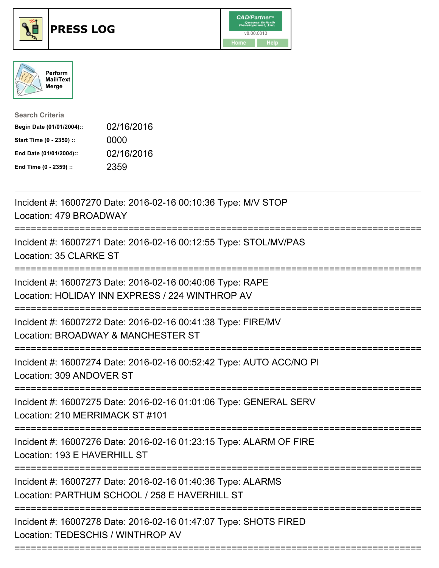





Search Criteria Begin Date (01/01/2004):: 02/16/2016 Start Time (0 - 2359) :: 0000 End Date (01/01/2004):: 02/16/2016 End Time (0 - 2359) :: 2359

| Incident #: 16007270 Date: 2016-02-16 00:10:36 Type: M/V STOP<br>Location: 479 BROADWAY                                      |
|------------------------------------------------------------------------------------------------------------------------------|
| Incident #: 16007271 Date: 2016-02-16 00:12:55 Type: STOL/MV/PAS<br>Location: 35 CLARKE ST                                   |
| Incident #: 16007273 Date: 2016-02-16 00:40:06 Type: RAPE<br>Location: HOLIDAY INN EXPRESS / 224 WINTHROP AV                 |
| Incident #: 16007272 Date: 2016-02-16 00:41:38 Type: FIRE/MV<br>Location: BROADWAY & MANCHESTER ST                           |
| Incident #: 16007274 Date: 2016-02-16 00:52:42 Type: AUTO ACC/NO PI<br>Location: 309 ANDOVER ST                              |
| Incident #: 16007275 Date: 2016-02-16 01:01:06 Type: GENERAL SERV<br>Location: 210 MERRIMACK ST #101                         |
| Incident #: 16007276 Date: 2016-02-16 01:23:15 Type: ALARM OF FIRE<br>Location: 193 E HAVERHILL ST                           |
| Incident #: 16007277 Date: 2016-02-16 01:40:36 Type: ALARMS<br>Location: PARTHUM SCHOOL / 258 E HAVERHILL ST                 |
| Incident #: 16007278 Date: 2016-02-16 01:47:07 Type: SHOTS FIRED<br>Location: TEDESCHIS / WINTHROP AV<br>:================== |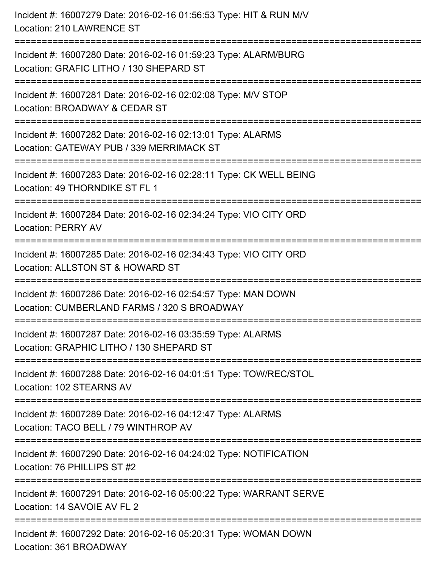Incident #: 16007279 Date: 2016-02-16 01:56:53 Type: HIT & RUN M/V Location: 210 LAWRENCE ST =========================================================================== Incident #: 16007280 Date: 2016-02-16 01:59:23 Type: ALARM/BURG Location: GRAFIC LITHO / 130 SHEPARD ST =========================================================================== Incident #: 16007281 Date: 2016-02-16 02:02:08 Type: M/V STOP Location: BROADWAY & CEDAR ST =========================================================================== Incident #: 16007282 Date: 2016-02-16 02:13:01 Type: ALARMS Location: GATEWAY PUB / 339 MERRIMACK ST =========================================================================== Incident #: 16007283 Date: 2016-02-16 02:28:11 Type: CK WELL BEING Location: 49 THORNDIKE ST FL 1 =========================================================================== Incident #: 16007284 Date: 2016-02-16 02:34:24 Type: VIO CITY ORD Location: PERRY AV =========================================================================== Incident #: 16007285 Date: 2016-02-16 02:34:43 Type: VIO CITY ORD Location: ALLSTON ST & HOWARD ST =========================================================================== Incident #: 16007286 Date: 2016-02-16 02:54:57 Type: MAN DOWN Location: CUMBERLAND FARMS / 320 S BROADWAY =========================================================================== Incident #: 16007287 Date: 2016-02-16 03:35:59 Type: ALARMS Location: GRAPHIC LITHO / 130 SHEPARD ST =========================================================================== Incident #: 16007288 Date: 2016-02-16 04:01:51 Type: TOW/REC/STOL Location: 102 STEARNS AV =========================================================================== Incident #: 16007289 Date: 2016-02-16 04:12:47 Type: ALARMS Location: TACO BELL / 79 WINTHROP AV =========================================================================== Incident #: 16007290 Date: 2016-02-16 04:24:02 Type: NOTIFICATION Location: 76 PHILLIPS ST #2 =========================================================================== Incident #: 16007291 Date: 2016-02-16 05:00:22 Type: WARRANT SERVE Location: 14 SAVOIE AV FL 2 =========================================================================== Incident #: 16007292 Date: 2016-02-16 05:20:31 Type: WOMAN DOWN Location: 361 BROADWAY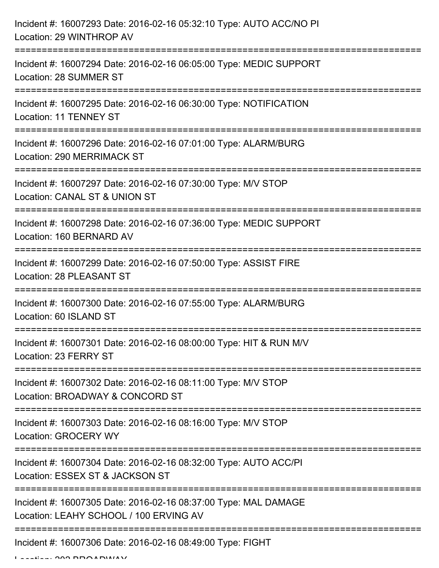| Incident #: 16007293 Date: 2016-02-16 05:32:10 Type: AUTO ACC/NO PI<br>Location: 29 WINTHROP AV                                                                             |
|-----------------------------------------------------------------------------------------------------------------------------------------------------------------------------|
| Incident #: 16007294 Date: 2016-02-16 06:05:00 Type: MEDIC SUPPORT<br>Location: 28 SUMMER ST<br>---------------------------------                                           |
| Incident #: 16007295 Date: 2016-02-16 06:30:00 Type: NOTIFICATION<br>Location: 11 TENNEY ST                                                                                 |
| Incident #: 16007296 Date: 2016-02-16 07:01:00 Type: ALARM/BURG<br>Location: 290 MERRIMACK ST                                                                               |
| Incident #: 16007297 Date: 2016-02-16 07:30:00 Type: M/V STOP<br>Location: CANAL ST & UNION ST                                                                              |
| Incident #: 16007298 Date: 2016-02-16 07:36:00 Type: MEDIC SUPPORT<br>Location: 160 BERNARD AV                                                                              |
| Incident #: 16007299 Date: 2016-02-16 07:50:00 Type: ASSIST FIRE<br>Location: 28 PLEASANT ST                                                                                |
| Incident #: 16007300 Date: 2016-02-16 07:55:00 Type: ALARM/BURG<br>Location: 60 ISLAND ST                                                                                   |
| =====================================<br>-----------------------------------<br>Incident #: 16007301 Date: 2016-02-16 08:00:00 Type: HIT & RUN M/V<br>Location: 23 FERRY ST |
| Incident #: 16007302 Date: 2016-02-16 08:11:00 Type: M/V STOP<br>Location: BROADWAY & CONCORD ST                                                                            |
| Incident #: 16007303 Date: 2016-02-16 08:16:00 Type: M/V STOP<br><b>Location: GROCERY WY</b>                                                                                |
| Incident #: 16007304 Date: 2016-02-16 08:32:00 Type: AUTO ACC/PI<br>Location: ESSEX ST & JACKSON ST                                                                         |
| Incident #: 16007305 Date: 2016-02-16 08:37:00 Type: MAL DAMAGE<br>Location: LEAHY SCHOOL / 100 ERVING AV                                                                   |
| Incident #: 16007306 Date: 2016-02-16 08:49:00 Type: FIGHT                                                                                                                  |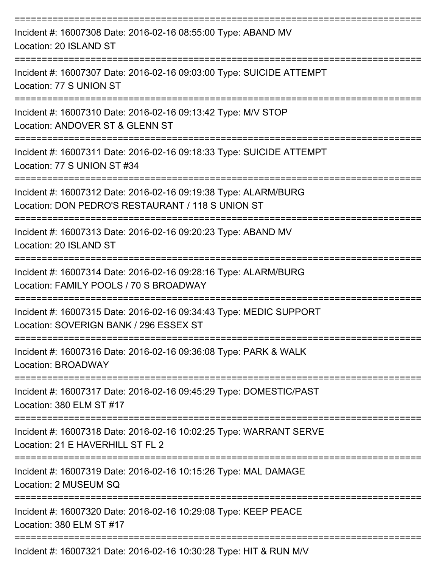| Incident #: 16007308 Date: 2016-02-16 08:55:00 Type: ABAND MV<br>Location: 20 ISLAND ST                              |
|----------------------------------------------------------------------------------------------------------------------|
| Incident #: 16007307 Date: 2016-02-16 09:03:00 Type: SUICIDE ATTEMPT<br>Location: 77 S UNION ST                      |
| Incident #: 16007310 Date: 2016-02-16 09:13:42 Type: M/V STOP<br>Location: ANDOVER ST & GLENN ST                     |
| Incident #: 16007311 Date: 2016-02-16 09:18:33 Type: SUICIDE ATTEMPT<br>Location: 77 S UNION ST #34                  |
| Incident #: 16007312 Date: 2016-02-16 09:19:38 Type: ALARM/BURG<br>Location: DON PEDRO'S RESTAURANT / 118 S UNION ST |
| Incident #: 16007313 Date: 2016-02-16 09:20:23 Type: ABAND MV<br>Location: 20 ISLAND ST                              |
| Incident #: 16007314 Date: 2016-02-16 09:28:16 Type: ALARM/BURG<br>Location: FAMILY POOLS / 70 S BROADWAY            |
| Incident #: 16007315 Date: 2016-02-16 09:34:43 Type: MEDIC SUPPORT<br>Location: SOVERIGN BANK / 296 ESSEX ST         |
| Incident #: 16007316 Date: 2016-02-16 09:36:08 Type: PARK & WALK<br>Location: BROADWAY                               |
| Incident #: 16007317 Date: 2016-02-16 09:45:29 Type: DOMESTIC/PAST<br>Location: 380 ELM ST #17                       |
| Incident #: 16007318 Date: 2016-02-16 10:02:25 Type: WARRANT SERVE<br>Location: 21 E HAVERHILL ST FL 2               |
| Incident #: 16007319 Date: 2016-02-16 10:15:26 Type: MAL DAMAGE<br>Location: 2 MUSEUM SQ                             |
| Incident #: 16007320 Date: 2016-02-16 10:29:08 Type: KEEP PEACE<br>Location: 380 ELM ST #17                          |
| Incident #: 16007321 Date: 2016-02-16 10:30:28 Type: HIT & RUN M/V                                                   |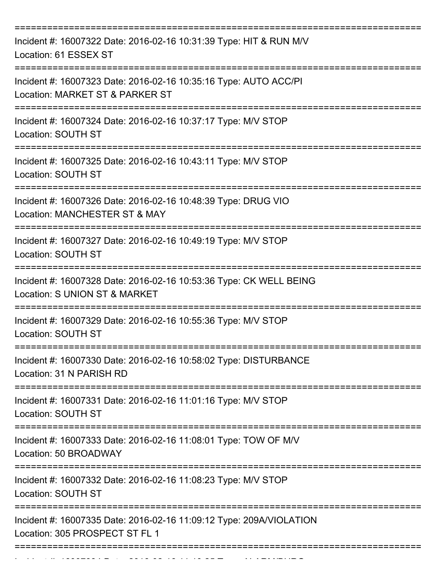| Incident #: 16007322 Date: 2016-02-16 10:31:39 Type: HIT & RUN M/V<br>Location: 61 ESSEX ST           |
|-------------------------------------------------------------------------------------------------------|
| Incident #: 16007323 Date: 2016-02-16 10:35:16 Type: AUTO ACC/PI<br>Location: MARKET ST & PARKER ST   |
| Incident #: 16007324 Date: 2016-02-16 10:37:17 Type: M/V STOP<br>Location: SOUTH ST                   |
| Incident #: 16007325 Date: 2016-02-16 10:43:11 Type: M/V STOP<br>Location: SOUTH ST                   |
| Incident #: 16007326 Date: 2016-02-16 10:48:39 Type: DRUG VIO<br>Location: MANCHESTER ST & MAY        |
| Incident #: 16007327 Date: 2016-02-16 10:49:19 Type: M/V STOP<br>Location: SOUTH ST                   |
| Incident #: 16007328 Date: 2016-02-16 10:53:36 Type: CK WELL BEING<br>Location: S UNION ST & MARKET   |
| Incident #: 16007329 Date: 2016-02-16 10:55:36 Type: M/V STOP<br>Location: SOUTH ST                   |
| Incident #: 16007330 Date: 2016-02-16 10:58:02 Type: DISTURBANCE<br>Location: 31 N PARISH RD          |
| Incident #: 16007331 Date: 2016-02-16 11:01:16 Type: M/V STOP<br>Location: SOUTH ST                   |
| Incident #: 16007333 Date: 2016-02-16 11:08:01 Type: TOW OF M/V<br>Location: 50 BROADWAY              |
| Incident #: 16007332 Date: 2016-02-16 11:08:23 Type: M/V STOP<br>Location: SOUTH ST                   |
| Incident #: 16007335 Date: 2016-02-16 11:09:12 Type: 209A/VIOLATION<br>Location: 305 PROSPECT ST FL 1 |
|                                                                                                       |

Incident #: 16007334 Date: 2016 02 16 11:10:25 Type: ALARM/BURG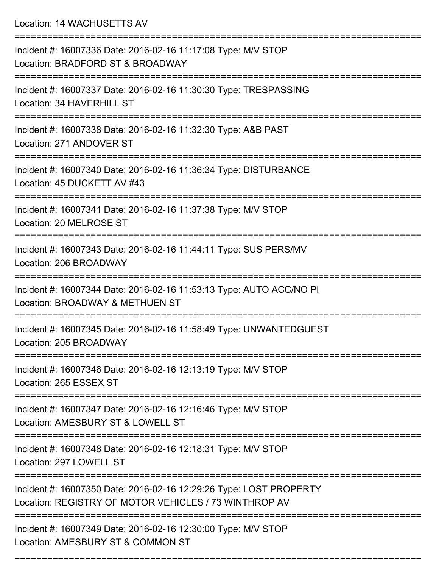Location: 14 WACHUSETTS AV

| Incident #: 16007336 Date: 2016-02-16 11:17:08 Type: M/V STOP<br>Location: BRADFORD ST & BROADWAY                           |
|-----------------------------------------------------------------------------------------------------------------------------|
| Incident #: 16007337 Date: 2016-02-16 11:30:30 Type: TRESPASSING<br>Location: 34 HAVERHILL ST                               |
| Incident #: 16007338 Date: 2016-02-16 11:32:30 Type: A&B PAST<br>Location: 271 ANDOVER ST                                   |
| Incident #: 16007340 Date: 2016-02-16 11:36:34 Type: DISTURBANCE<br>Location: 45 DUCKETT AV #43                             |
| Incident #: 16007341 Date: 2016-02-16 11:37:38 Type: M/V STOP<br>Location: 20 MELROSE ST                                    |
| Incident #: 16007343 Date: 2016-02-16 11:44:11 Type: SUS PERS/MV<br>Location: 206 BROADWAY                                  |
| Incident #: 16007344 Date: 2016-02-16 11:53:13 Type: AUTO ACC/NO PI<br>Location: BROADWAY & METHUEN ST                      |
| Incident #: 16007345 Date: 2016-02-16 11:58:49 Type: UNWANTEDGUEST<br>Location: 205 BROADWAY                                |
| Incident #: 16007346 Date: 2016-02-16 12:13:19 Type: M/V STOP<br>Location: 265 ESSEX ST                                     |
| Incident #: 16007347 Date: 2016-02-16 12:16:46 Type: M/V STOP<br>Location: AMESBURY ST & LOWELL ST                          |
| Incident #: 16007348 Date: 2016-02-16 12:18:31 Type: M/V STOP<br>Location: 297 LOWELL ST                                    |
| Incident #: 16007350 Date: 2016-02-16 12:29:26 Type: LOST PROPERTY<br>Location: REGISTRY OF MOTOR VEHICLES / 73 WINTHROP AV |
| Incident #: 16007349 Date: 2016-02-16 12:30:00 Type: M/V STOP<br>Location: AMESBURY ST & COMMON ST                          |
|                                                                                                                             |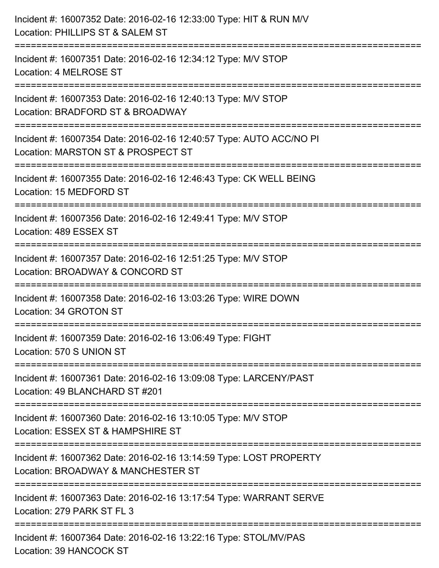| Incident #: 16007352 Date: 2016-02-16 12:33:00 Type: HIT & RUN M/V<br>Location: PHILLIPS ST & SALEM ST                           |
|----------------------------------------------------------------------------------------------------------------------------------|
| Incident #: 16007351 Date: 2016-02-16 12:34:12 Type: M/V STOP<br>Location: 4 MELROSE ST                                          |
| Incident #: 16007353 Date: 2016-02-16 12:40:13 Type: M/V STOP<br>Location: BRADFORD ST & BROADWAY<br>===================         |
| Incident #: 16007354 Date: 2016-02-16 12:40:57 Type: AUTO ACC/NO PI<br>Location: MARSTON ST & PROSPECT ST<br>=================== |
| Incident #: 16007355 Date: 2016-02-16 12:46:43 Type: CK WELL BEING<br>Location: 15 MEDFORD ST                                    |
| Incident #: 16007356 Date: 2016-02-16 12:49:41 Type: M/V STOP<br>Location: 489 ESSEX ST                                          |
| Incident #: 16007357 Date: 2016-02-16 12:51:25 Type: M/V STOP<br>Location: BROADWAY & CONCORD ST                                 |
| Incident #: 16007358 Date: 2016-02-16 13:03:26 Type: WIRE DOWN<br>Location: 34 GROTON ST                                         |
| Incident #: 16007359 Date: 2016-02-16 13:06:49 Type: FIGHT<br>Location: 570 S UNION ST                                           |
| Incident #: 16007361 Date: 2016-02-16 13:09:08 Type: LARCENY/PAST<br>Location: 49 BLANCHARD ST #201                              |
| Incident #: 16007360 Date: 2016-02-16 13:10:05 Type: M/V STOP<br>Location: ESSEX ST & HAMPSHIRE ST                               |
| Incident #: 16007362 Date: 2016-02-16 13:14:59 Type: LOST PROPERTY<br>Location: BROADWAY & MANCHESTER ST                         |
| Incident #: 16007363 Date: 2016-02-16 13:17:54 Type: WARRANT SERVE<br>Location: 279 PARK ST FL 3                                 |
| Incident #: 16007364 Date: 2016-02-16 13:22:16 Type: STOL/MV/PAS<br>Location: 39 HANCOCK ST                                      |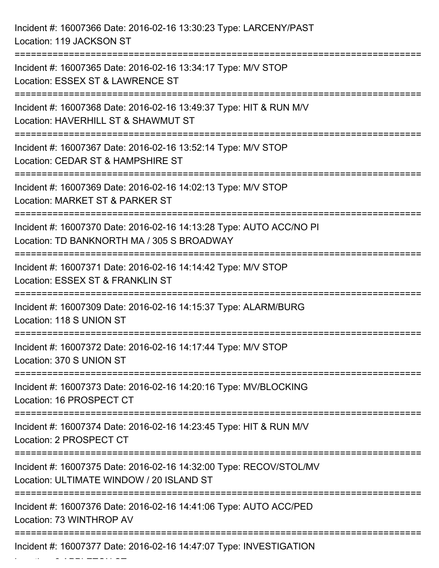Incident #: 16007366 Date: 2016-02-16 13:30:23 Type: LARCENY/PAST Location: 119 JACKSON ST =========================================================================== Incident #: 16007365 Date: 2016-02-16 13:34:17 Type: M/V STOP Location: ESSEX ST & LAWRENCE ST =========================================================================== Incident #: 16007368 Date: 2016-02-16 13:49:37 Type: HIT & RUN M/V Location: HAVERHILL ST & SHAWMUT ST =========================================================================== Incident #: 16007367 Date: 2016-02-16 13:52:14 Type: M/V STOP Location: CEDAR ST & HAMPSHIRE ST =========================================================================== Incident #: 16007369 Date: 2016-02-16 14:02:13 Type: M/V STOP Location: MARKET ST & PARKER ST =========================================================================== Incident #: 16007370 Date: 2016-02-16 14:13:28 Type: AUTO ACC/NO PI Location: TD BANKNORTH MA / 305 S BROADWAY =========================================================================== Incident #: 16007371 Date: 2016-02-16 14:14:42 Type: M/V STOP Location: ESSEX ST & FRANKLIN ST =========================================================================== Incident #: 16007309 Date: 2016-02-16 14:15:37 Type: ALARM/BURG Location: 118 S UNION ST =========================================================================== Incident #: 16007372 Date: 2016-02-16 14:17:44 Type: M/V STOP Location: 370 S UNION ST =========================================================================== Incident #: 16007373 Date: 2016-02-16 14:20:16 Type: MV/BLOCKING Location: 16 PROSPECT CT =========================================================================== Incident #: 16007374 Date: 2016-02-16 14:23:45 Type: HIT & RUN M/V Location: 2 PROSPECT CT =========================================================================== Incident #: 16007375 Date: 2016-02-16 14:32:00 Type: RECOV/STOL/MV Location: ULTIMATE WINDOW / 20 ISLAND ST =========================================================================== Incident #: 16007376 Date: 2016-02-16 14:41:06 Type: AUTO ACC/PED Location: 73 WINTHROP AV =========================================================================== Incident #: 16007377 Date: 2016-02-16 14:47:07 Type: INVESTIGATION

Location: 2 APPLETON ST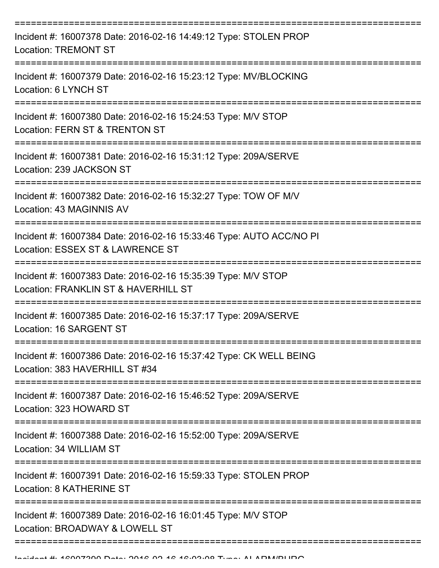| Incident #: 16007378 Date: 2016-02-16 14:49:12 Type: STOLEN PROP<br><b>Location: TREMONT ST</b>         |
|---------------------------------------------------------------------------------------------------------|
| Incident #: 16007379 Date: 2016-02-16 15:23:12 Type: MV/BLOCKING<br>Location: 6 LYNCH ST                |
| Incident #: 16007380 Date: 2016-02-16 15:24:53 Type: M/V STOP<br>Location: FERN ST & TRENTON ST         |
| Incident #: 16007381 Date: 2016-02-16 15:31:12 Type: 209A/SERVE<br>Location: 239 JACKSON ST             |
| Incident #: 16007382 Date: 2016-02-16 15:32:27 Type: TOW OF M/V<br>Location: 43 MAGINNIS AV             |
| Incident #: 16007384 Date: 2016-02-16 15:33:46 Type: AUTO ACC/NO PI<br>Location: ESSEX ST & LAWRENCE ST |
| Incident #: 16007383 Date: 2016-02-16 15:35:39 Type: M/V STOP<br>Location: FRANKLIN ST & HAVERHILL ST   |
| Incident #: 16007385 Date: 2016-02-16 15:37:17 Type: 209A/SERVE<br>Location: 16 SARGENT ST              |
| Incident #: 16007386 Date: 2016-02-16 15:37:42 Type: CK WELL BEING<br>Location: 383 HAVERHILL ST #34    |
| Incident #: 16007387 Date: 2016-02-16 15:46:52 Type: 209A/SERVE<br>Location: 323 HOWARD ST              |
| Incident #: 16007388 Date: 2016-02-16 15:52:00 Type: 209A/SERVE<br>Location: 34 WILLIAM ST              |
| Incident #: 16007391 Date: 2016-02-16 15:59:33 Type: STOLEN PROP<br>Location: 8 KATHERINE ST            |
| Incident #: 16007389 Date: 2016-02-16 16:01:45 Type: M/V STOP<br>Location: BROADWAY & LOWELL ST         |
|                                                                                                         |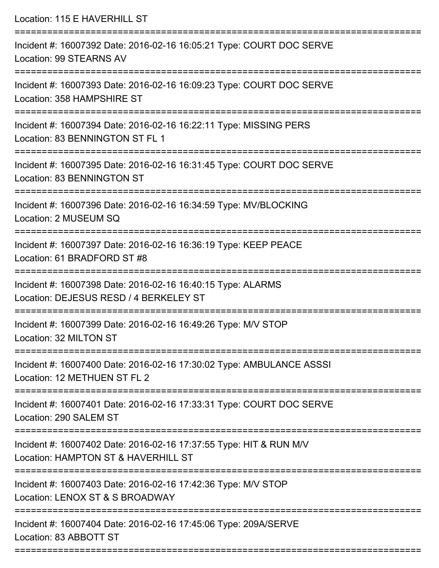| Location: 115 E HAVERHILL ST                                                                              |
|-----------------------------------------------------------------------------------------------------------|
| Incident #: 16007392 Date: 2016-02-16 16:05:21 Type: COURT DOC SERVE<br><b>Location: 99 STEARNS AV</b>    |
| Incident #: 16007393 Date: 2016-02-16 16:09:23 Type: COURT DOC SERVE<br>Location: 358 HAMPSHIRE ST        |
| Incident #: 16007394 Date: 2016-02-16 16:22:11 Type: MISSING PERS<br>Location: 83 BENNINGTON ST FL 1      |
| Incident #: 16007395 Date: 2016-02-16 16:31:45 Type: COURT DOC SERVE<br>Location: 83 BENNINGTON ST        |
| Incident #: 16007396 Date: 2016-02-16 16:34:59 Type: MV/BLOCKING<br>Location: 2 MUSEUM SQ                 |
| Incident #: 16007397 Date: 2016-02-16 16:36:19 Type: KEEP PEACE<br>Location: 61 BRADFORD ST #8            |
| Incident #: 16007398 Date: 2016-02-16 16:40:15 Type: ALARMS<br>Location: DEJESUS RESD / 4 BERKELEY ST     |
| Incident #: 16007399 Date: 2016-02-16 16:49:26 Type: M/V STOP<br>Location: 32 MILTON ST                   |
| Incident #: 16007400 Date: 2016-02-16 17:30:02 Type: AMBULANCE ASSSI<br>Location: 12 METHUEN ST FL 2      |
| Incident #: 16007401 Date: 2016-02-16 17:33:31 Type: COURT DOC SERVE<br>Location: 290 SALEM ST            |
| Incident #: 16007402 Date: 2016-02-16 17:37:55 Type: HIT & RUN M/V<br>Location: HAMPTON ST & HAVERHILL ST |
| Incident #: 16007403 Date: 2016-02-16 17:42:36 Type: M/V STOP<br>Location: LENOX ST & S BROADWAY          |
| Incident #: 16007404 Date: 2016-02-16 17:45:06 Type: 209A/SERVE<br>Location: 83 ABBOTT ST                 |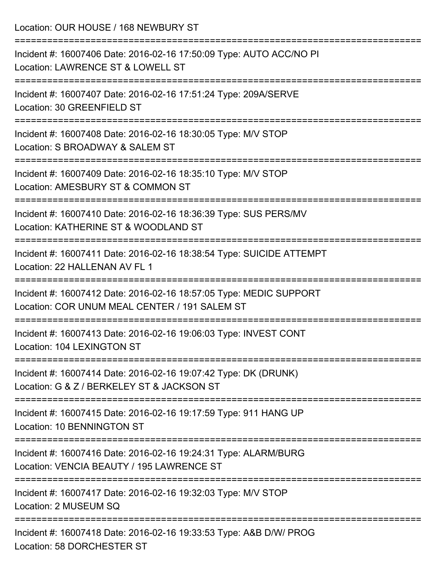Location: OUR HOUSE / 168 NEWBURY ST

| Incident #: 16007406 Date: 2016-02-16 17:50:09 Type: AUTO ACC/NO PI<br>Location: LAWRENCE ST & LOWELL ST            |
|---------------------------------------------------------------------------------------------------------------------|
| Incident #: 16007407 Date: 2016-02-16 17:51:24 Type: 209A/SERVE<br>Location: 30 GREENFIELD ST                       |
| Incident #: 16007408 Date: 2016-02-16 18:30:05 Type: M/V STOP<br>Location: S BROADWAY & SALEM ST                    |
| Incident #: 16007409 Date: 2016-02-16 18:35:10 Type: M/V STOP<br>Location: AMESBURY ST & COMMON ST                  |
| Incident #: 16007410 Date: 2016-02-16 18:36:39 Type: SUS PERS/MV<br>Location: KATHERINE ST & WOODLAND ST            |
| Incident #: 16007411 Date: 2016-02-16 18:38:54 Type: SUICIDE ATTEMPT<br>Location: 22 HALLENAN AV FL 1               |
| Incident #: 16007412 Date: 2016-02-16 18:57:05 Type: MEDIC SUPPORT<br>Location: COR UNUM MEAL CENTER / 191 SALEM ST |
| Incident #: 16007413 Date: 2016-02-16 19:06:03 Type: INVEST CONT<br>Location: 104 LEXINGTON ST                      |
| Incident #: 16007414 Date: 2016-02-16 19:07:42 Type: DK (DRUNK)<br>Location: G & Z / BERKELEY ST & JACKSON ST       |
| Incident #: 16007415 Date: 2016-02-16 19:17:59 Type: 911 HANG UP<br>Location: 10 BENNINGTON ST                      |
| Incident #: 16007416 Date: 2016-02-16 19:24:31 Type: ALARM/BURG<br>Location: VENCIA BEAUTY / 195 LAWRENCE ST        |
| Incident #: 16007417 Date: 2016-02-16 19:32:03 Type: M/V STOP<br>Location: 2 MUSEUM SQ                              |
| Incident #: 16007418 Date: 2016-02-16 19:33:53 Type: A&B D/W/ PROG<br>Location: 58 DORCHESTER ST                    |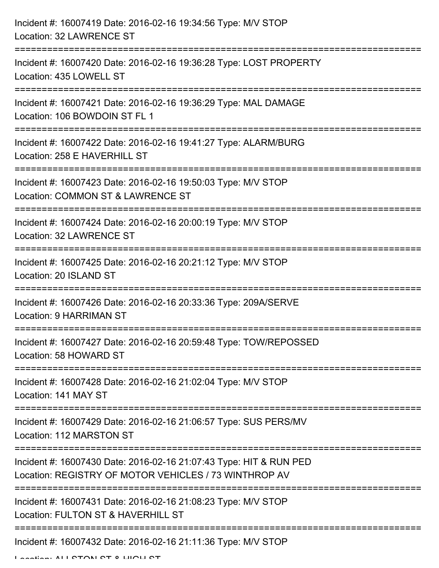| Incident #: 16007419 Date: 2016-02-16 19:34:56 Type: M/V STOP<br><b>Location: 32 LAWRENCE ST</b>                            |
|-----------------------------------------------------------------------------------------------------------------------------|
| Incident #: 16007420 Date: 2016-02-16 19:36:28 Type: LOST PROPERTY<br>Location: 435 LOWELL ST                               |
| Incident #: 16007421 Date: 2016-02-16 19:36:29 Type: MAL DAMAGE<br>Location: 106 BOWDOIN ST FL 1                            |
| Incident #: 16007422 Date: 2016-02-16 19:41:27 Type: ALARM/BURG<br>Location: 258 E HAVERHILL ST                             |
| Incident #: 16007423 Date: 2016-02-16 19:50:03 Type: M/V STOP<br>Location: COMMON ST & LAWRENCE ST<br>--------------------- |
| Incident #: 16007424 Date: 2016-02-16 20:00:19 Type: M/V STOP<br><b>Location: 32 LAWRENCE ST</b>                            |
| Incident #: 16007425 Date: 2016-02-16 20:21:12 Type: M/V STOP<br>Location: 20 ISLAND ST                                     |
| Incident #: 16007426 Date: 2016-02-16 20:33:36 Type: 209A/SERVE<br>Location: 9 HARRIMAN ST                                  |
| Incident #: 16007427 Date: 2016-02-16 20:59:48 Type: TOW/REPOSSED<br>Location: 58 HOWARD ST                                 |
| Incident #: 16007428 Date: 2016-02-16 21:02:04 Type: M/V STOP<br>Location: 141 MAY ST                                       |
| Incident #: 16007429 Date: 2016-02-16 21:06:57 Type: SUS PERS/MV<br>Location: 112 MARSTON ST                                |
| Incident #: 16007430 Date: 2016-02-16 21:07:43 Type: HIT & RUN PED<br>Location: REGISTRY OF MOTOR VEHICLES / 73 WINTHROP AV |
| Incident #: 16007431 Date: 2016-02-16 21:08:23 Type: M/V STOP<br>Location: FULTON ST & HAVERHILL ST                         |
| Incident #: 16007432 Date: 2016-02-16 21:11:36 Type: M/V STOP                                                               |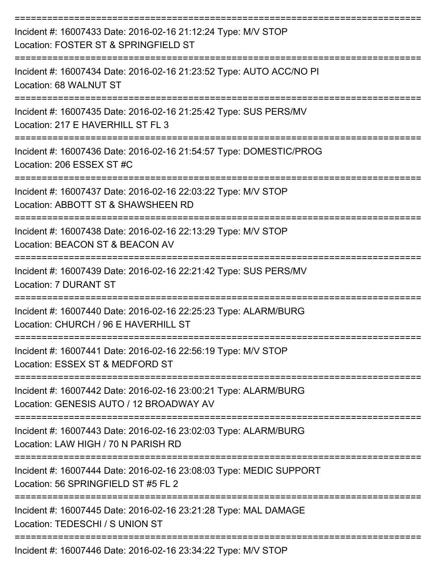| Incident #: 16007433 Date: 2016-02-16 21:12:24 Type: M/V STOP<br>Location: FOSTER ST & SPRINGFIELD ST      |
|------------------------------------------------------------------------------------------------------------|
| Incident #: 16007434 Date: 2016-02-16 21:23:52 Type: AUTO ACC/NO PI<br>Location: 68 WALNUT ST              |
| Incident #: 16007435 Date: 2016-02-16 21:25:42 Type: SUS PERS/MV<br>Location: 217 E HAVERHILL ST FL 3      |
| Incident #: 16007436 Date: 2016-02-16 21:54:57 Type: DOMESTIC/PROG<br>Location: 206 ESSEX ST #C            |
| Incident #: 16007437 Date: 2016-02-16 22:03:22 Type: M/V STOP<br>Location: ABBOTT ST & SHAWSHEEN RD        |
| Incident #: 16007438 Date: 2016-02-16 22:13:29 Type: M/V STOP<br>Location: BEACON ST & BEACON AV           |
| Incident #: 16007439 Date: 2016-02-16 22:21:42 Type: SUS PERS/MV<br><b>Location: 7 DURANT ST</b>           |
| Incident #: 16007440 Date: 2016-02-16 22:25:23 Type: ALARM/BURG<br>Location: CHURCH / 96 E HAVERHILL ST    |
| Incident #: 16007441 Date: 2016-02-16 22:56:19 Type: M/V STOP<br>Location: ESSEX ST & MEDFORD ST           |
| Incident #: 16007442 Date: 2016-02-16 23:00:21 Type: ALARM/BURG<br>Location: GENESIS AUTO / 12 BROADWAY AV |
| Incident #: 16007443 Date: 2016-02-16 23:02:03 Type: ALARM/BURG<br>Location: LAW HIGH / 70 N PARISH RD     |
| Incident #: 16007444 Date: 2016-02-16 23:08:03 Type: MEDIC SUPPORT<br>Location: 56 SPRINGFIELD ST #5 FL 2  |
| Incident #: 16007445 Date: 2016-02-16 23:21:28 Type: MAL DAMAGE<br>Location: TEDESCHI / S UNION ST         |
| Incident #: 16007446 Date: 2016-02-16 23:34:22 Type: M/V STOP                                              |